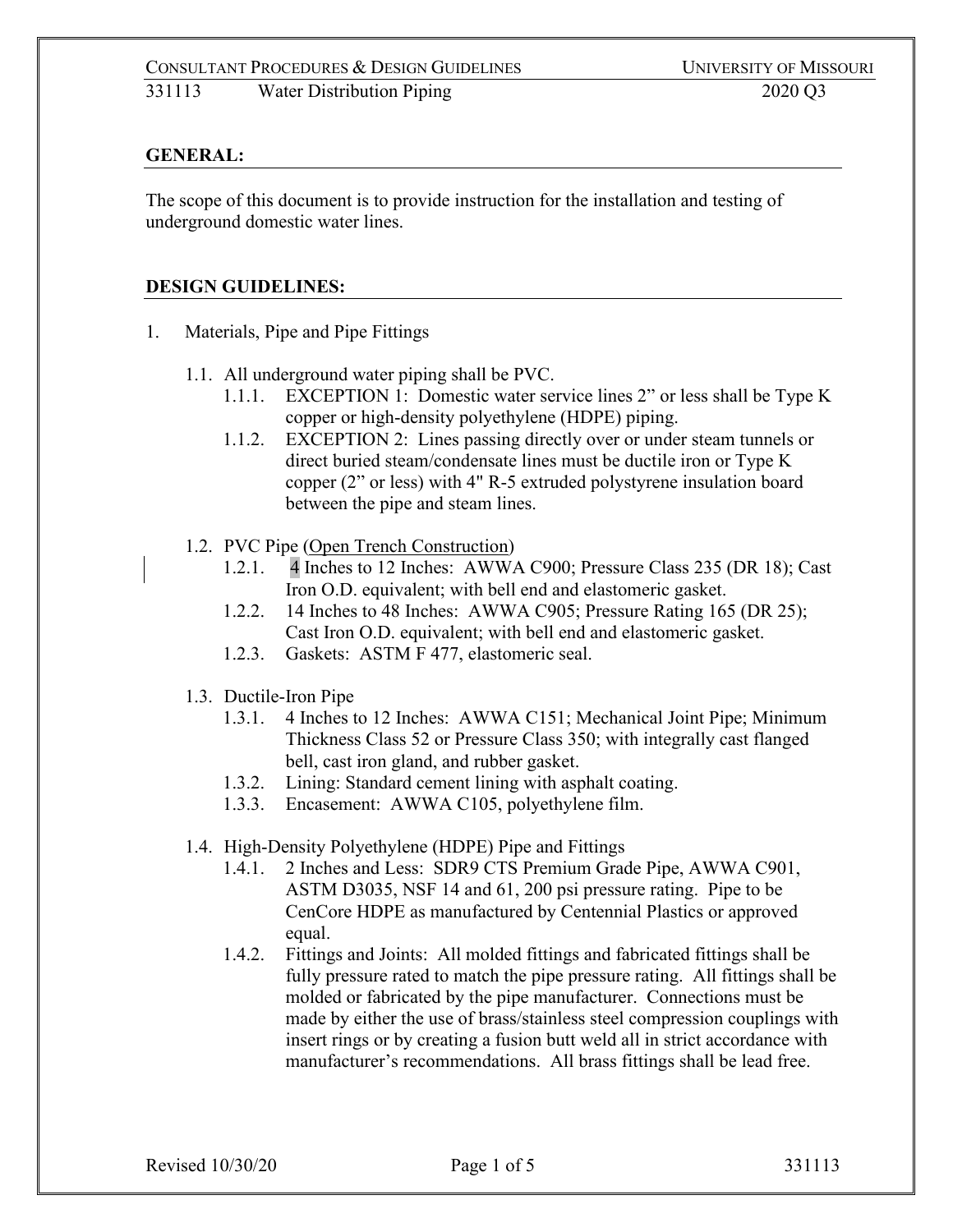### **GENERAL:**

The scope of this document is to provide instruction for the installation and testing of underground domestic water lines.

### **DESIGN GUIDELINES:**

- 1. Materials, Pipe and Pipe Fittings
	- 1.1. All underground water piping shall be PVC.
		- 1.1.1. EXCEPTION 1: Domestic water service lines 2" or less shall be Type K copper or high-density polyethylene (HDPE) piping.
		- 1.1.2. EXCEPTION 2: Lines passing directly over or under steam tunnels or direct buried steam/condensate lines must be ductile iron or Type K copper (2" or less) with 4" R-5 extruded polystyrene insulation board between the pipe and steam lines.
	- 1.2. PVC Pipe (Open Trench Construction)
		- 1.2.1. 4 Inches to 12 Inches: AWWA C900; Pressure Class 235 (DR 18); Cast Iron O.D. equivalent; with bell end and elastomeric gasket.
		- 1.2.2. 14 Inches to 48 Inches: AWWA C905; Pressure Rating 165 (DR 25); Cast Iron O.D. equivalent; with bell end and elastomeric gasket.
		- 1.2.3. Gaskets: ASTM F 477, elastomeric seal.
	- 1.3. Ductile-Iron Pipe
		- 1.3.1. 4 Inches to 12 Inches: AWWA C151; Mechanical Joint Pipe; Minimum Thickness Class 52 or Pressure Class 350; with integrally cast flanged bell, cast iron gland, and rubber gasket.
		- 1.3.2. Lining: Standard cement lining with asphalt coating.
		- 1.3.3. Encasement: AWWA C105, polyethylene film.
	- 1.4. High-Density Polyethylene (HDPE) Pipe and Fittings
		- 1.4.1. 2 Inches and Less: SDR9 CTS Premium Grade Pipe, AWWA C901, ASTM D3035, NSF 14 and 61, 200 psi pressure rating. Pipe to be CenCore HDPE as manufactured by Centennial Plastics or approved equal.
		- 1.4.2. Fittings and Joints: All molded fittings and fabricated fittings shall be fully pressure rated to match the pipe pressure rating. All fittings shall be molded or fabricated by the pipe manufacturer. Connections must be made by either the use of brass/stainless steel compression couplings with insert rings or by creating a fusion butt weld all in strict accordance with manufacturer's recommendations. All brass fittings shall be lead free.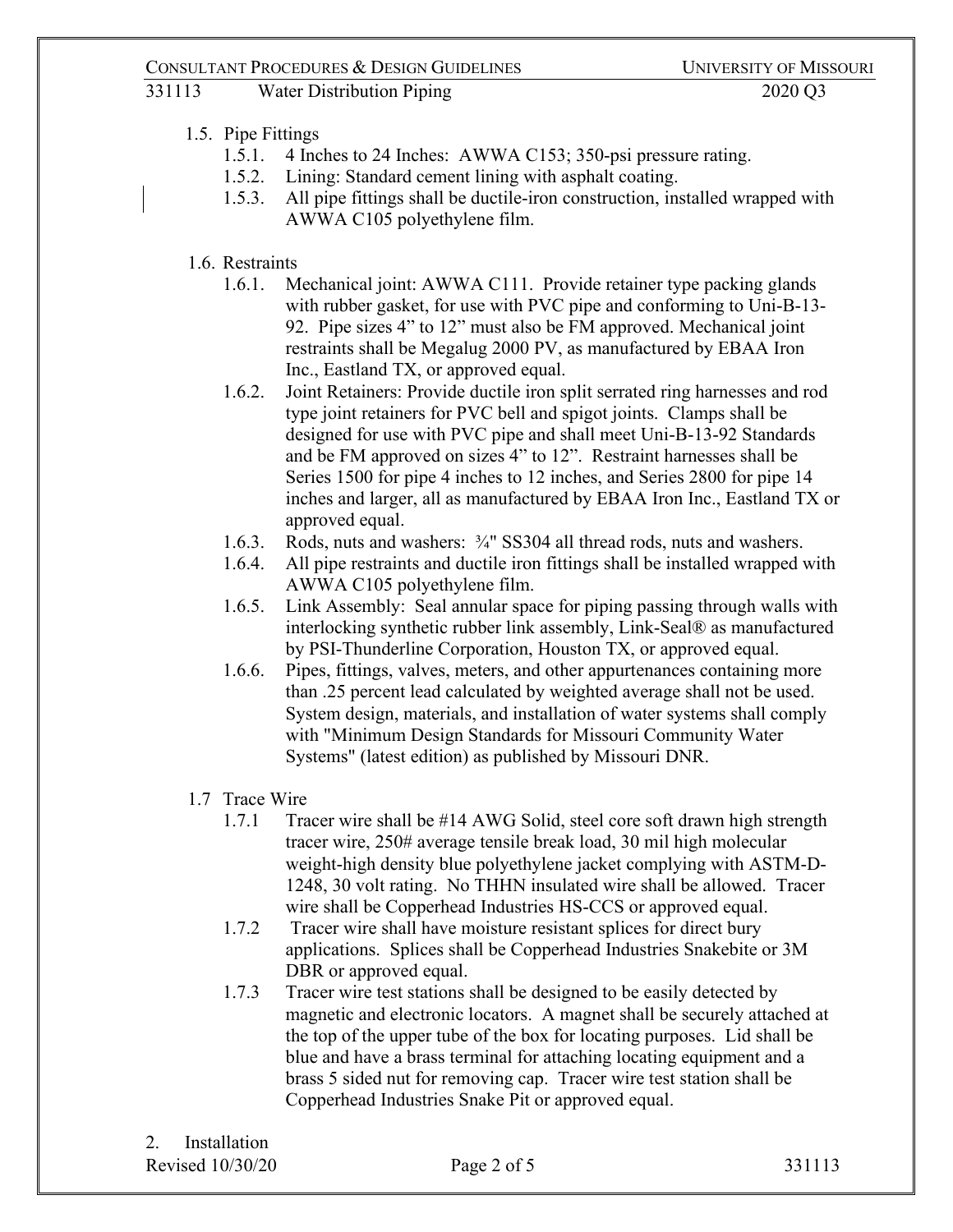### CONSULTANT PROCEDURES & DESIGN GUIDELINES UNIVERSITY OF MISSOURI

# 331113 Water Distribution Piping 2020 Q3

# 1.5. Pipe Fittings

- 1.5.1. 4 Inches to 24 Inches: AWWA C153; 350-psi pressure rating.
- 1.5.2. Lining: Standard cement lining with asphalt coating.
- 1.5.3. All pipe fittings shall be ductile-iron construction, installed wrapped with AWWA C105 polyethylene film.

### 1.6. Restraints

- 1.6.1. Mechanical joint: AWWA C111. Provide retainer type packing glands with rubber gasket, for use with PVC pipe and conforming to Uni-B-13- 92. Pipe sizes 4" to 12" must also be FM approved. Mechanical joint restraints shall be Megalug 2000 PV, as manufactured by EBAA Iron Inc., Eastland TX, or approved equal.
- 1.6.2. Joint Retainers: Provide ductile iron split serrated ring harnesses and rod type joint retainers for PVC bell and spigot joints. Clamps shall be designed for use with PVC pipe and shall meet Uni-B-13-92 Standards and be FM approved on sizes 4" to 12". Restraint harnesses shall be Series 1500 for pipe 4 inches to 12 inches, and Series 2800 for pipe 14 inches and larger, all as manufactured by EBAA Iron Inc., Eastland TX or approved equal.
- 1.6.3. Rods, nuts and washers: ¾" SS304 all thread rods, nuts and washers.
- 1.6.4. All pipe restraints and ductile iron fittings shall be installed wrapped with AWWA C105 polyethylene film.
- 1.6.5. Link Assembly: Seal annular space for piping passing through walls with interlocking synthetic rubber link assembly, Link-Seal® as manufactured by PSI-Thunderline Corporation, Houston TX, or approved equal.
- 1.6.6. Pipes, fittings, valves, meters, and other appurtenances containing more than .25 percent lead calculated by weighted average shall not be used. System design, materials, and installation of water systems shall comply with "Minimum Design Standards for Missouri Community Water Systems" (latest edition) as published by Missouri DNR.

# 1.7 Trace Wire

- 1.7.1 Tracer wire shall be #14 AWG Solid, steel core soft drawn high strength tracer wire, 250# average tensile break load, 30 mil high molecular weight-high density blue polyethylene jacket complying with ASTM-D-1248, 30 volt rating. No THHN insulated wire shall be allowed. Tracer wire shall be Copperhead Industries HS-CCS or approved equal.
- 1.7.2 Tracer wire shall have moisture resistant splices for direct bury applications. Splices shall be Copperhead Industries Snakebite or 3M DBR or approved equal.
- 1.7.3 Tracer wire test stations shall be designed to be easily detected by magnetic and electronic locators. A magnet shall be securely attached at the top of the upper tube of the box for locating purposes. Lid shall be blue and have a brass terminal for attaching locating equipment and a brass 5 sided nut for removing cap. Tracer wire test station shall be Copperhead Industries Snake Pit or approved equal.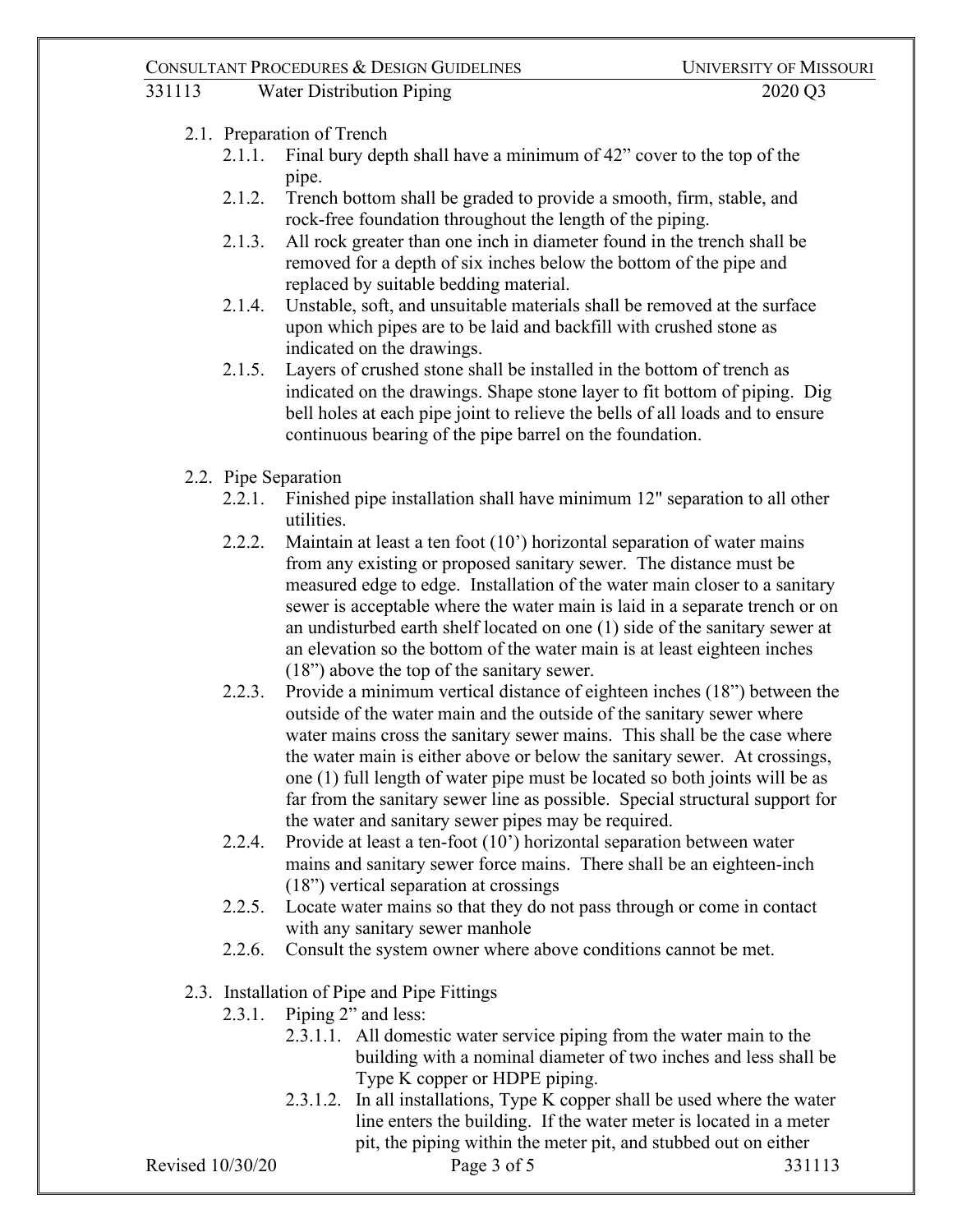#### CONSULTANT PROCEDURES & DESIGN GUIDELINES UNIVERSITY OF MISSOURI

331113 Water Distribution Piping 2020 Q3

- 2.1. Preparation of Trench
	- 2.1.1. Final bury depth shall have a minimum of 42" cover to the top of the pipe.
	- 2.1.2. Trench bottom shall be graded to provide a smooth, firm, stable, and rock-free foundation throughout the length of the piping.
	- 2.1.3. All rock greater than one inch in diameter found in the trench shall be removed for a depth of six inches below the bottom of the pipe and replaced by suitable bedding material.
	- 2.1.4. Unstable, soft, and unsuitable materials shall be removed at the surface upon which pipes are to be laid and backfill with crushed stone as indicated on the drawings.
	- 2.1.5. Layers of crushed stone shall be installed in the bottom of trench as indicated on the drawings. Shape stone layer to fit bottom of piping. Dig bell holes at each pipe joint to relieve the bells of all loads and to ensure continuous bearing of the pipe barrel on the foundation.
- 2.2. Pipe Separation
	- 2.2.1. Finished pipe installation shall have minimum 12" separation to all other utilities.
	- 2.2.2. Maintain at least a ten foot (10') horizontal separation of water mains from any existing or proposed sanitary sewer. The distance must be measured edge to edge. Installation of the water main closer to a sanitary sewer is acceptable where the water main is laid in a separate trench or on an undisturbed earth shelf located on one (1) side of the sanitary sewer at an elevation so the bottom of the water main is at least eighteen inches (18") above the top of the sanitary sewer.
	- 2.2.3. Provide a minimum vertical distance of eighteen inches (18") between the outside of the water main and the outside of the sanitary sewer where water mains cross the sanitary sewer mains. This shall be the case where the water main is either above or below the sanitary sewer. At crossings, one (1) full length of water pipe must be located so both joints will be as far from the sanitary sewer line as possible. Special structural support for the water and sanitary sewer pipes may be required.
	- 2.2.4. Provide at least a ten-foot (10') horizontal separation between water mains and sanitary sewer force mains. There shall be an eighteen-inch (18") vertical separation at crossings
	- 2.2.5. Locate water mains so that they do not pass through or come in contact with any sanitary sewer manhole
	- 2.2.6. Consult the system owner where above conditions cannot be met.
- 2.3. Installation of Pipe and Pipe Fittings
	- 2.3.1. Piping 2" and less:
		- 2.3.1.1. All domestic water service piping from the water main to the building with a nominal diameter of two inches and less shall be Type K copper or HDPE piping.
		- 2.3.1.2. In all installations, Type K copper shall be used where the water line enters the building. If the water meter is located in a meter pit, the piping within the meter pit, and stubbed out on either

Revised 10/30/20 **Page 3 of 5** 331113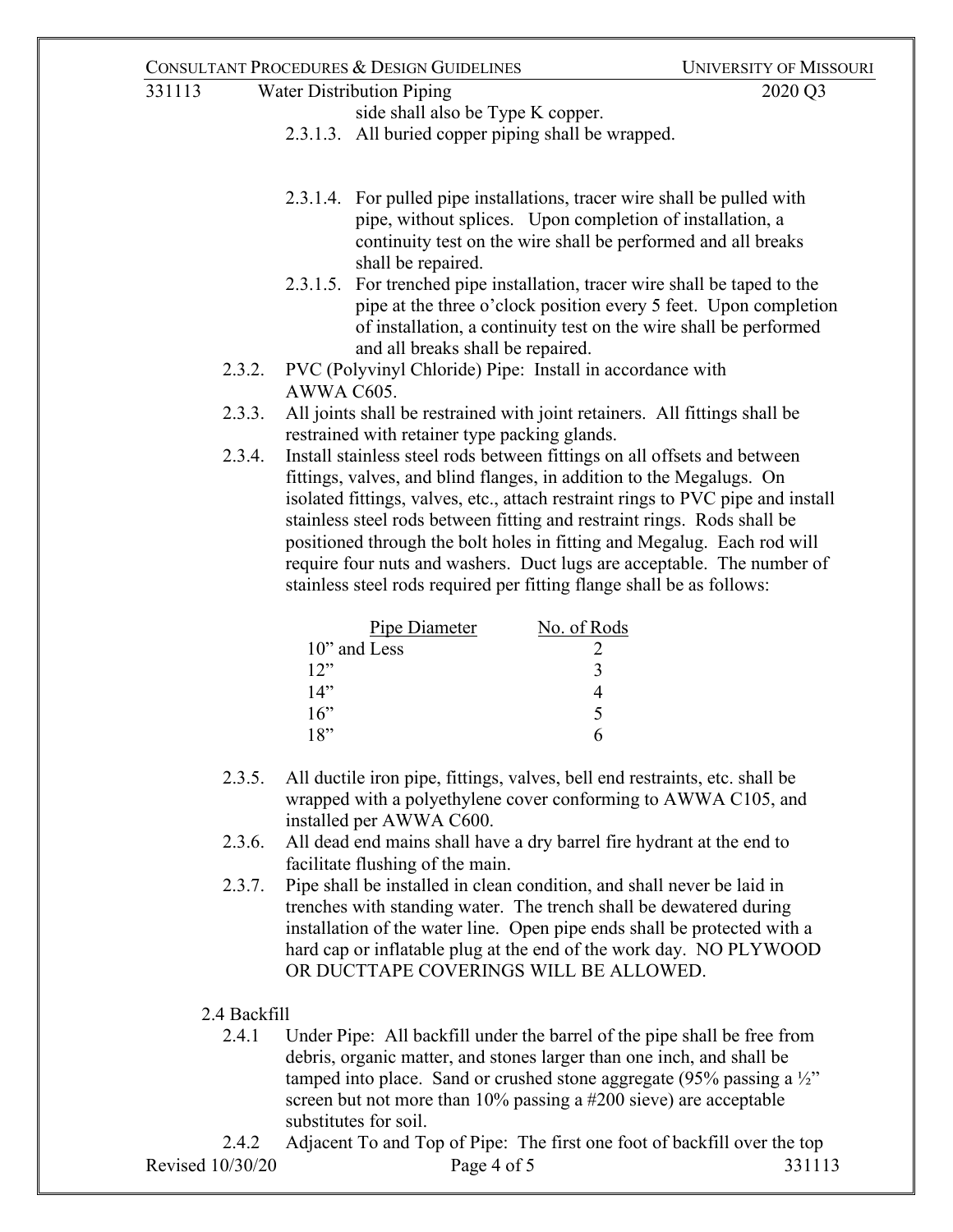#### CONSULTANT PROCEDURES & DESIGN GUIDELINES UNIVERSITY OF MISSOURI

| 331113 | <b>Water Distribution Piping</b> |                                                                                                                                                                                                                              | 2020 Q3 |
|--------|----------------------------------|------------------------------------------------------------------------------------------------------------------------------------------------------------------------------------------------------------------------------|---------|
|        |                                  | side shall also be Type K copper.                                                                                                                                                                                            |         |
|        |                                  | 2.3.1.3. All buried copper piping shall be wrapped.                                                                                                                                                                          |         |
|        |                                  |                                                                                                                                                                                                                              |         |
|        |                                  | 2.3.1.4. For pulled pipe installations, tracer wire shall be pulled with<br>pipe, without splices. Upon completion of installation, a<br>continuity test on the wire shall be performed and all breaks<br>shall be repaired. |         |

- 2.3.1.5. For trenched pipe installation, tracer wire shall be taped to the pipe at the three o'clock position every 5 feet. Upon completion of installation, a continuity test on the wire shall be performed and all breaks shall be repaired.
- 2.3.2. PVC (Polyvinyl Chloride) Pipe: Install in accordance with AWWA C605.
- 2.3.3. All joints shall be restrained with joint retainers. All fittings shall be restrained with retainer type packing glands.
- 2.3.4. Install stainless steel rods between fittings on all offsets and between fittings, valves, and blind flanges, in addition to the Megalugs. On isolated fittings, valves, etc., attach restraint rings to PVC pipe and install stainless steel rods between fitting and restraint rings. Rods shall be positioned through the bolt holes in fitting and Megalug. Each rod will require four nuts and washers. Duct lugs are acceptable. The number of stainless steel rods required per fitting flange shall be as follows:

| Pipe Diameter   | No. of Rods |
|-----------------|-------------|
| $10$ " and Less |             |
| 12"             | 3           |
| 14"             |             |
| 16"             | ↖           |
| 18"             |             |

- 2.3.5. All ductile iron pipe, fittings, valves, bell end restraints, etc. shall be wrapped with a polyethylene cover conforming to AWWA C105, and installed per AWWA C600.
- 2.3.6. All dead end mains shall have a dry barrel fire hydrant at the end to facilitate flushing of the main.
- 2.3.7. Pipe shall be installed in clean condition, and shall never be laid in trenches with standing water. The trench shall be dewatered during installation of the water line. Open pipe ends shall be protected with a hard cap or inflatable plug at the end of the work day. NO PLYWOOD OR DUCTTAPE COVERINGS WILL BE ALLOWED.

# 2.4 Backfill

2.4.1 Under Pipe: All backfill under the barrel of the pipe shall be free from debris, organic matter, and stones larger than one inch, and shall be tamped into place. Sand or crushed stone aggregate (95% passing a  $\frac{1}{2}$ " screen but not more than 10% passing a #200 sieve) are acceptable substitutes for soil.

Revised 10/30/20 **Page 4 of 5** 331113 2.4.2 Adjacent To and Top of Pipe: The first one foot of backfill over the top